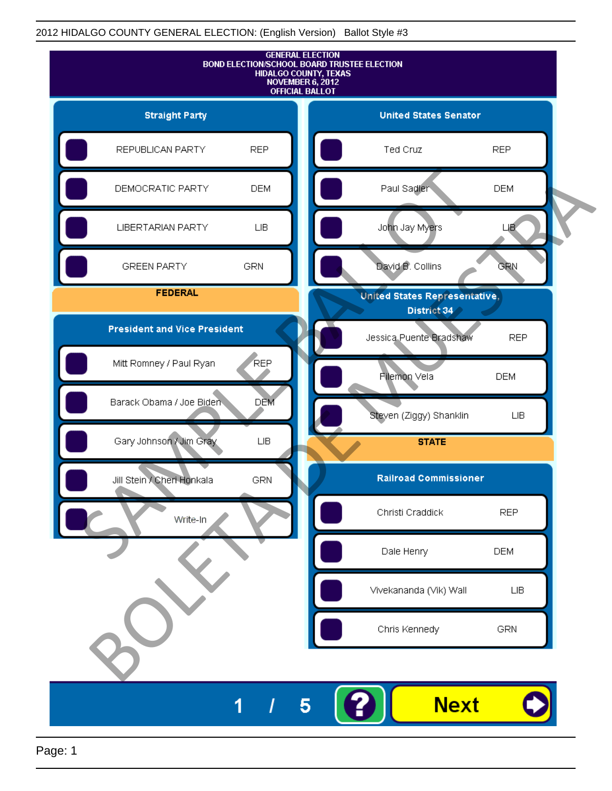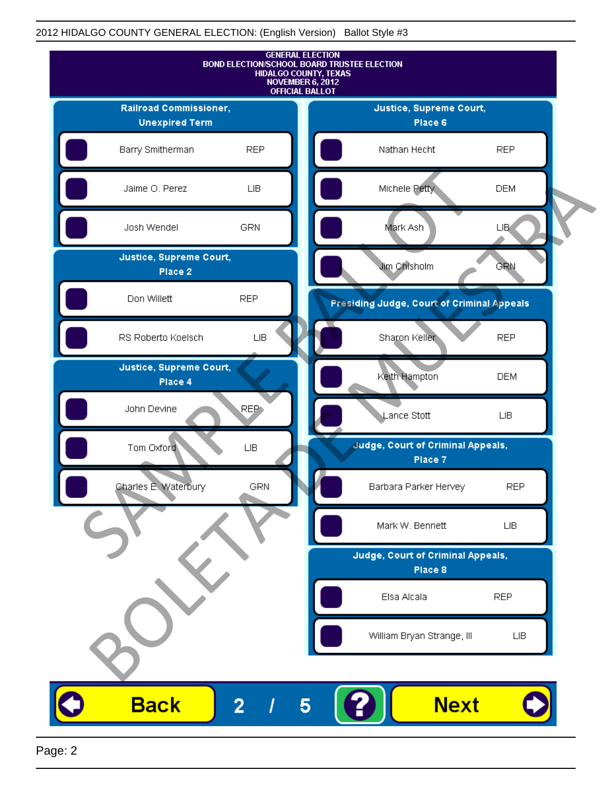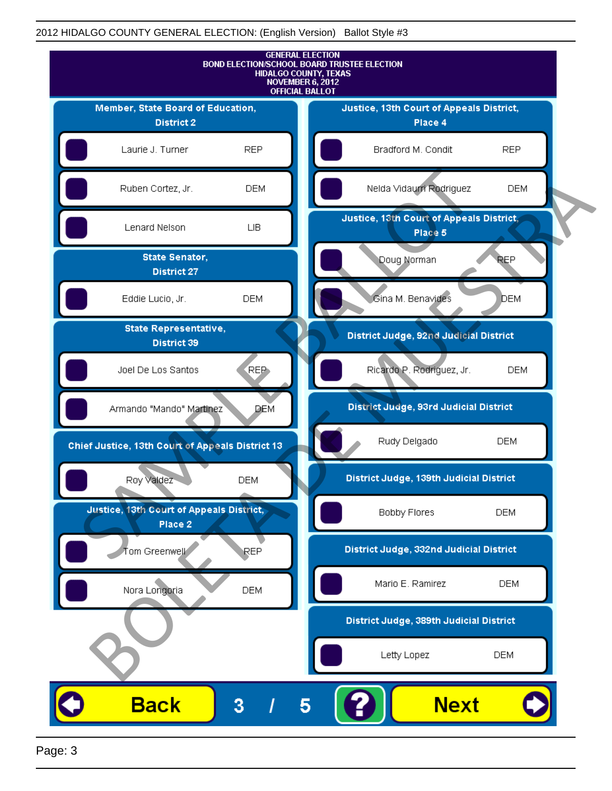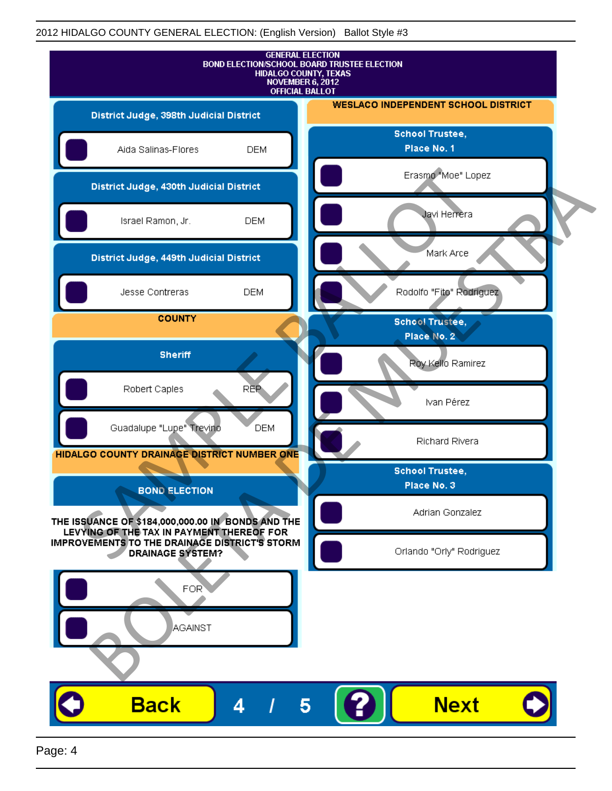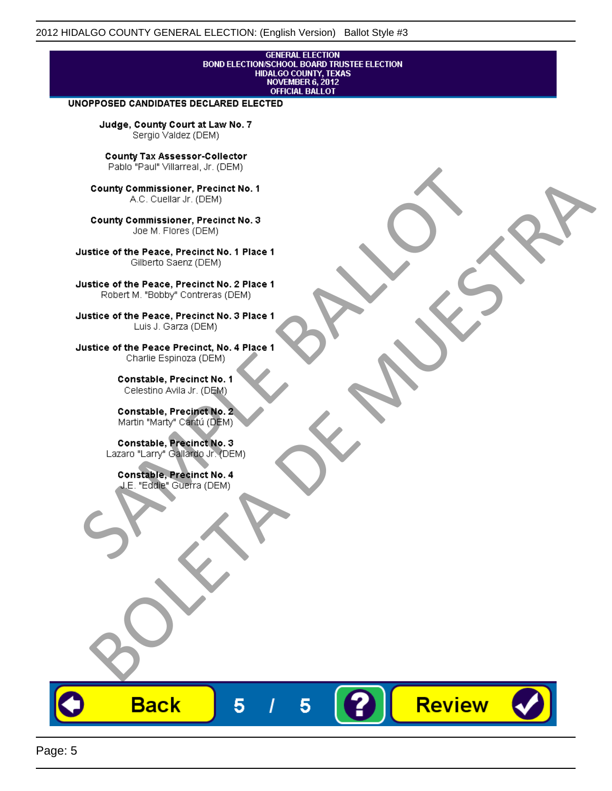## **GENERAL ELECTION** BOND ELECTION/SCHOOL BOARD TRUSTEE ELECTION<br>HIDALGO COUNTY, TEXAS<br>NOVEMBER 6, 2012 **OFFICIAL BALLOT**

Review

#### UNOPPOSED CANDIDATES DECLARED ELECTED

Judge, County Court at Law No. 7 Sergio Valdez (DEM)

County Tax Assessor-Collector

Fall Paul Visitera, Precinct No. 1<br>
County Commissioner, Precinct No. 1<br>
SAC. Cutellar JF: (DEM)<br>
County Commissioner, Precinct No. 2<br>
Ulattice of the Peace, Precinct No. 2 Place 1<br>
Counter M. "Bobby" Contrers (DEM)<br>
Ulatt County Commissioner, Precinct No. 1<br>
Accounts: A County Commissioner, Precinct No. 3<br>
Use of the Peace, Precinct No. 1<br>
Siste of the Peace, Precinct No. 1<br>
There is a control of the County Commission (DEM)<br>
There is a cont

**Back** 

5

5

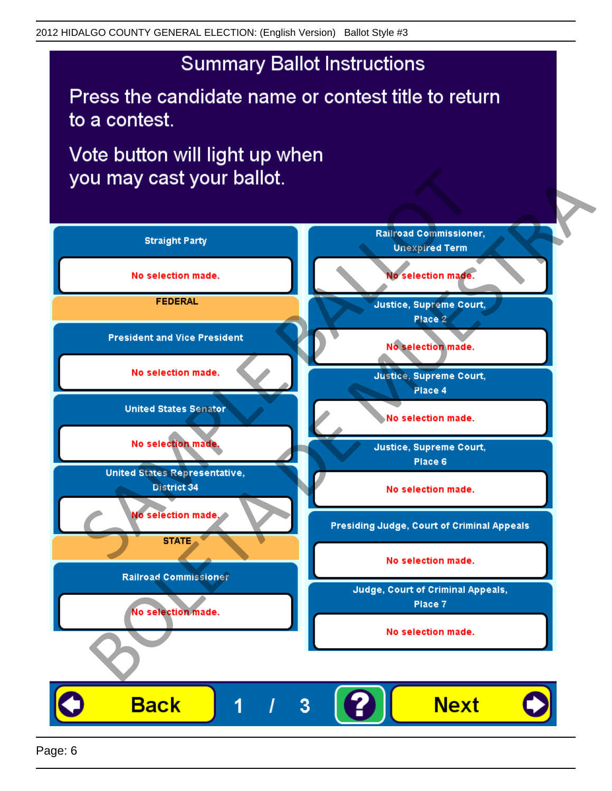# **Summary Ballot Instructions**

Press the candidate name or contest title to return to a contest.

Vote button will light up when

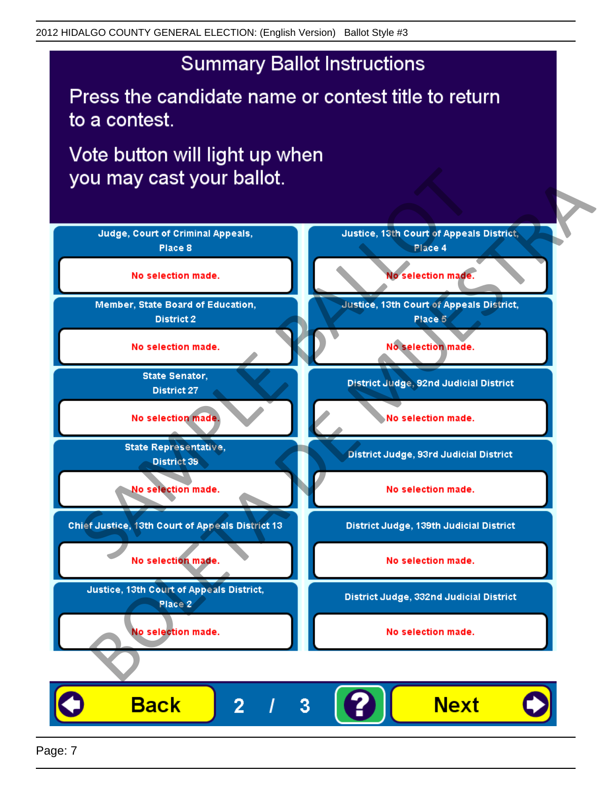# **Summary Ballot Instructions**

Press the candidate name or contest title to return to a contest.

Vote button will light up when